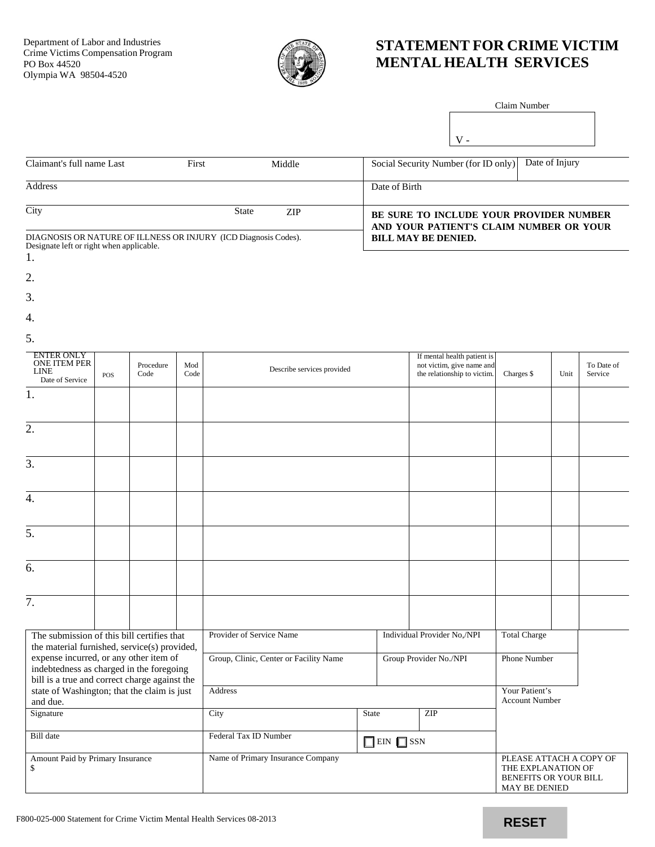

## **STATEMENT FOR CRIME VICTIM MENTAL HEALTH SERVICES**

 $\mathbf V$  -

| Claim Number |  |
|--------------|--|
|              |  |
|              |  |

| Claimant's full name Last                                       | First        | Middle | Date of Injury<br>Social Security Number (for ID only) |
|-----------------------------------------------------------------|--------------|--------|--------------------------------------------------------|
|                                                                 |              |        |                                                        |
| <b>Address</b>                                                  |              |        | Date of Birth                                          |
|                                                                 |              |        |                                                        |
| City                                                            | <b>State</b> | ZIP.   | BE SURE TO INCLUDE YOUR PROVIDER NUMBER                |
|                                                                 |              |        | AND YOUR PATIENT'S CLAIM NUMBER OR YOUR                |
| DIAGNOSIS OR NATURE OF ILLNESS OR INJURY (ICD Diagnosis Codes). |              |        | <b>BILL MAY BE DENIED.</b>                             |
| Designate left or right when applicable.                        |              |        |                                                        |

- 1.
- 2.
- 
- 3.
- 
- 4.
- 5.

| <b>ENTER ONLY</b><br>ONE ITEM PER<br><b>LINE</b><br>Date of Service                                                                 | <b>POS</b> | Procedure<br>Code                      | Mod<br>Code                                    | Describe services provided |                                                                                         | If mental health patient is<br>not victim, give name and<br>the relationship to victim. | Charges \$          | Unit | To Date of<br>Service |  |
|-------------------------------------------------------------------------------------------------------------------------------------|------------|----------------------------------------|------------------------------------------------|----------------------------|-----------------------------------------------------------------------------------------|-----------------------------------------------------------------------------------------|---------------------|------|-----------------------|--|
| 1.                                                                                                                                  |            |                                        |                                                |                            |                                                                                         |                                                                                         |                     |      |                       |  |
| 2.                                                                                                                                  |            |                                        |                                                |                            |                                                                                         |                                                                                         |                     |      |                       |  |
| 3.                                                                                                                                  |            |                                        |                                                |                            |                                                                                         |                                                                                         |                     |      |                       |  |
| $\overline{4}$ .                                                                                                                    |            |                                        |                                                |                            |                                                                                         |                                                                                         |                     |      |                       |  |
| $\overline{5}$ .                                                                                                                    |            |                                        |                                                |                            |                                                                                         |                                                                                         |                     |      |                       |  |
| $\overline{6}$ .                                                                                                                    |            |                                        |                                                |                            |                                                                                         |                                                                                         |                     |      |                       |  |
| 7.                                                                                                                                  |            |                                        |                                                |                            |                                                                                         |                                                                                         |                     |      |                       |  |
| The submission of this bill certifies that<br>the material furnished, service(s) provided,                                          |            |                                        | Provider of Service Name                       |                            |                                                                                         | Individual Provider No,/NPI                                                             | <b>Total Charge</b> |      |                       |  |
| expense incurred, or any other item of<br>indebtedness as charged in the foregoing<br>bill is a true and correct charge against the |            | Group, Clinic, Center or Facility Name |                                                |                            | Group Provider No./NPI                                                                  |                                                                                         | <b>Phone Number</b> |      |                       |  |
| state of Washington; that the claim is just<br>and due.                                                                             |            | Address                                |                                                |                            |                                                                                         | Your Patient's<br><b>Account Number</b>                                                 |                     |      |                       |  |
| Signature                                                                                                                           |            | City                                   | <b>State</b>                                   |                            | ZIP                                                                                     |                                                                                         |                     |      |                       |  |
| <b>Bill</b> date                                                                                                                    |            |                                        | Federal Tax ID Number<br>$\Box$ EIN $\Box$ SSN |                            |                                                                                         |                                                                                         |                     |      |                       |  |
| Amount Paid by Primary Insurance<br>\$                                                                                              |            | Name of Primary Insurance Company      |                                                |                            | PLEASE ATTACH A COPY OF<br>THE EXPLANATION OF<br>BENEFITS OR YOUR BILL<br>MAY BE DENIED |                                                                                         |                     |      |                       |  |